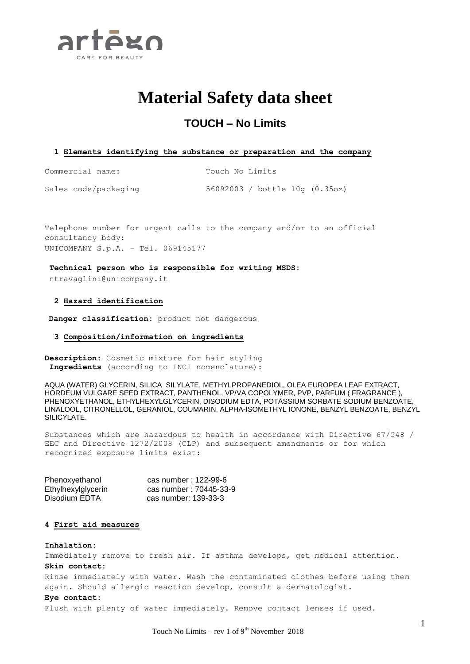

# **Material Safety data sheet**

# **TOUCH – No Limits**

# **1 Elements identifying the substance or preparation and the company**

Commercial name: Touch No Limits

Sales code/packaging 56092003 / bottle 10g (0.35oz)

Telephone number for urgent calls to the company and/or to an official consultancy body: UNICOMPANY S.p.A. – Tel. 069145177

**Technical person who is responsible for writing MSDS:** ntravaglini@unicompany.it

# **2 Hazard identification**

**Danger classification:** product not dangerous

# **3 Composition/information on ingredients**

**Description:** Cosmetic mixture for hair styling **Ingredients** (according to INCI nomenclature):

AQUA (WATER) GLYCERIN, SILICA SILYLATE, METHYLPROPANEDIOL, OLEA EUROPEA LEAF EXTRACT, HORDEUM VULGARE SEED EXTRACT, PANTHENOL, VP/VA COPOLYMER, PVP, PARFUM ( FRAGRANCE ), PHENOXYETHANOL, ETHYLHEXYLGLYCERIN, DISODIUM EDTA, POTASSIUM SORBATE SODIUM BENZOATE, LINALOOL, CITRONELLOL, GERANIOL, COUMARIN, ALPHA-ISOMETHYL IONONE, BENZYL BENZOATE, BENZYL SILICYLATE.

Substances which are hazardous to health in accordance with Directive 67/548 / EEC and Directive 1272/2008 (CLP) and subsequent amendments or for which recognized exposure limits exist:

| Phenoxyethanol     | cas number: 122-99-6   |
|--------------------|------------------------|
| Ethylhexylglycerin | cas number: 70445-33-9 |
| Disodium EDTA      | cas number: 139-33-3   |

# **4 First aid measures**

#### **Inhalation:**

Immediately remove to fresh air. If asthma develops, get medical attention. **Skin contact:**

Rinse immediately with water. Wash the contaminated clothes before using them again. Should allergic reaction develop, consult a dermatologist.

#### **Eye contact:**

Flush with plenty of water immediately. Remove contact lenses if used.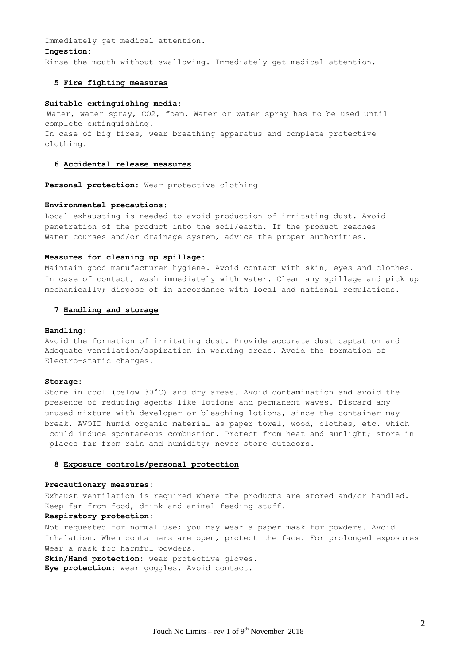Immediately get medical attention.

#### **Ingestion:**

Rinse the mouth without swallowing. Immediately get medical attention.

# **5 Fire fighting measures**

# **Suitable extinguishing media:**

Water, water spray, CO2, foam. Water or water spray has to be used until complete extinguishing. In case of big fires, wear breathing apparatus and complete protective clothing.

# **6 Accidental release measures**

**Personal protection:** Wear protective clothing

#### **Environmental precautions:**

Local exhausting is needed to avoid production of irritating dust. Avoid penetration of the product into the soil/earth. If the product reaches Water courses and/or drainage system, advice the proper authorities.

# **Measures for cleaning up spillage:**

Maintain good manufacturer hygiene. Avoid contact with skin, eyes and clothes. In case of contact, wash immediately with water. Clean any spillage and pick up mechanically; dispose of in accordance with local and national regulations.

# **7 Handling and storage**

#### **Handling:**

Avoid the formation of irritating dust. Provide accurate dust captation and Adequate ventilation/aspiration in working areas. Avoid the formation of Electro-static charges.

#### **Storage:**

Store in cool (below 30°C) and dry areas. Avoid contamination and avoid the presence of reducing agents like lotions and permanent waves. Discard any unused mixture with developer or bleaching lotions, since the container may break. AVOID humid organic material as paper towel, wood, clothes, etc. which could induce spontaneous combustion. Protect from heat and sunlight; store in places far from rain and humidity; never store outdoors.

#### **8 Exposure controls/personal protection**

# **Precautionary measures:**

Exhaust ventilation is required where the products are stored and/or handled. Keep far from food, drink and animal feeding stuff.

# **Respiratory protection:**

Not requested for normal use; you may wear a paper mask for powders. Avoid Inhalation. When containers are open, protect the face. For prolonged exposures Wear a mask for harmful powders.

**Skin/Hand protection:** wear protective gloves.

**Eye protection:** wear goggles. Avoid contact.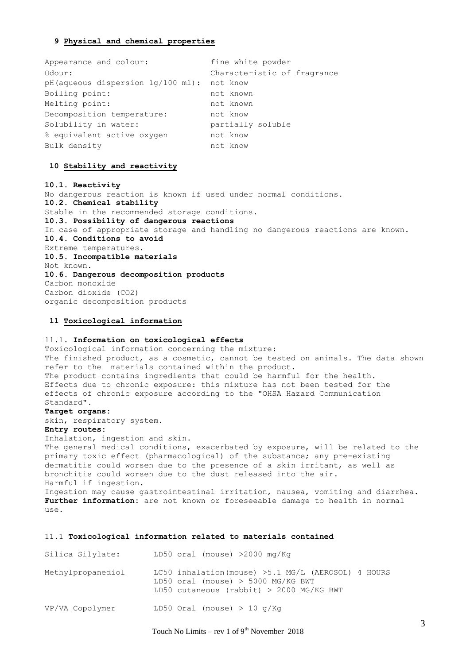# **9 Physical and chemical properties**

| Appearance and colour:                          | fine white powder           |
|-------------------------------------------------|-----------------------------|
| Odour:                                          | Characteristic of fragrance |
| $pH$ (aqueous dispersion $1q/100$ ml): not know |                             |
| Boiling point:                                  | not known                   |
| Melting point:                                  | not known                   |
| Decomposition temperature:                      | not know                    |
| Solubility in water:                            | partially soluble           |
| % equivalent active oxygen                      | not know                    |
| Bulk density                                    | not know                    |

# **10 Stability and reactivity**

**10.1. Reactivity** No dangerous reaction is known if used under normal conditions. **10.2. Chemical stability** Stable in the recommended storage conditions. **10.3. Possibility of dangerous reactions** In case of appropriate storage and handling no dangerous reactions are known. **10.4. Conditions to avoid** Extreme temperatures. **10.5. Incompatible materials** Not known. **10.6. Dangerous decomposition products** Carbon monoxide Carbon dioxide (CO2) organic decomposition products

# **11 Toxicological information**

# 11.1. **Information on toxicological effects**

Toxicological information concerning the mixture: The finished product, as a cosmetic, cannot be tested on animals. The data shown refer to the materials contained within the product. The product contains ingredients that could be harmful for the health. Effects due to chronic exposure: this mixture has not been tested for the effects of chronic exposure according to the "OHSA Hazard Communication Standard".

# **Target organs:**

skin, respiratory system.

# **Entry routes:**

Inhalation, ingestion and skin. The general medical conditions, exacerbated by exposure, will be related to the primary toxic effect (pharmacological) of the substance; any pre-existing dermatitis could worsen due to the presence of a skin irritant, as well as bronchitis could worsen due to the dust released into the air. Harmful if ingestion. Ingestion may cause gastrointestinal irritation, nausea, vomiting and diarrhea. **Further information:** are not known or foreseeable damage to health in normal  $11S^{\alpha}$ 

#### 11.1 **Toxicological information related to materials contained**

| Silica Silylate:  | LD50 oral (mouse) $>2000$ mg/Kg                                                                                                         |
|-------------------|-----------------------------------------------------------------------------------------------------------------------------------------|
| Methylpropanediol | LC50 inhalation (mouse) >5.1 MG/L (AEROSOL) 4 HOURS<br>LD50 oral (mouse) $>$ 5000 MG/KG BWT<br>LD50 cutaneous (rabbit) > 2000 MG/KG BWT |
| VP/VA Copolymer   | LD50 Oral (mouse) $> 10$ q/Kq                                                                                                           |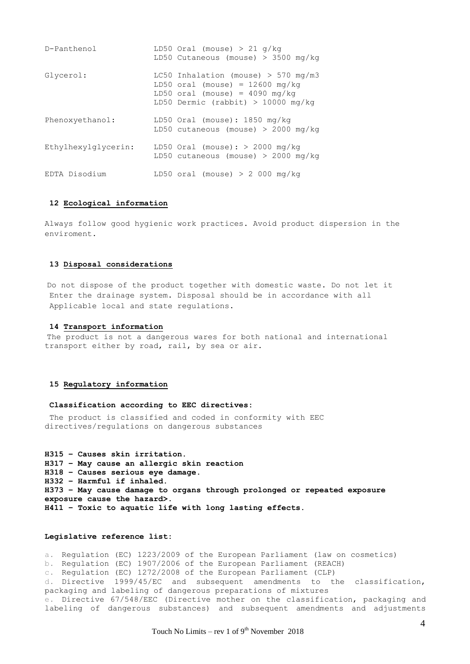| D-Panthenol         | LD50 Oral (mouse) > 21 $g/kg$<br>LD50 Cutaneous (mouse) > 3500 mg/kg                                                                                   |
|---------------------|--------------------------------------------------------------------------------------------------------------------------------------------------------|
| Glycerol:           | LC50 Inhalation (mouse) $>$ 570 mg/m3<br>LD50 oral (mouse) = $12600$ mg/kg<br>LD50 oral (mouse) = $4090$ mg/kg<br>LD50 Dermic (rabbit) > $10000$ mg/kg |
| Phenoxyethanol:     | LD50 Oral (mouse): $1850$ mg/kg<br>LD50 cutaneous (mouse) > 2000 mg/kg                                                                                 |
| Ethylhexylglycerin: | LD50 Oral (mouse): $>$ 2000 mg/kg<br>LD50 cutaneous (mouse) > 2000 mg/kg                                                                               |
| EDTA Disodium       | LD50 oral (mouse) > $2000$ mg/kg                                                                                                                       |

# **12 Ecological information**

Always follow good hygienic work practices. Avoid product dispersion in the enviroment.

# **13 Disposal considerations**

Do not dispose of the product together with domestic waste. Do not let it Enter the drainage system. Disposal should be in accordance with all Applicable local and state regulations.

#### **14 Transport information**

The product is not a dangerous wares for both national and international transport either by road, rail, by sea or air.

#### **15 Regulatory information**

#### **Classification according to EEC directives:**

The product is classified and coded in conformity with EEC directives/regulations on dangerous substances

**H315 – Causes skin irritation. H317 – May cause an allergic skin reaction H318 – Causes serious eye damage. H332 – Harmful if inhaled. H373 – May cause damage to organs through prolonged or repeated exposure exposure cause the hazard>. H411 – Toxic to aquatic life with long lasting effects.**

#### **Legislative reference list:**

a. Regulation (EC) 1223/2009 of the European Parliament (law on cosmetics) b. Regulation (EC) 1907/2006 of the European Parliament (REACH) c. Regulation (EC) 1272/2008 of the European Parliament (CLP) d. Directive 1999/45/EC and subsequent amendments to the classification, packaging and labeling of dangerous preparations of mixtures e. Directive 67/548/EEC (Directive mother on the classification, packaging and labeling of dangerous substances) and subsequent amendments and adjustments